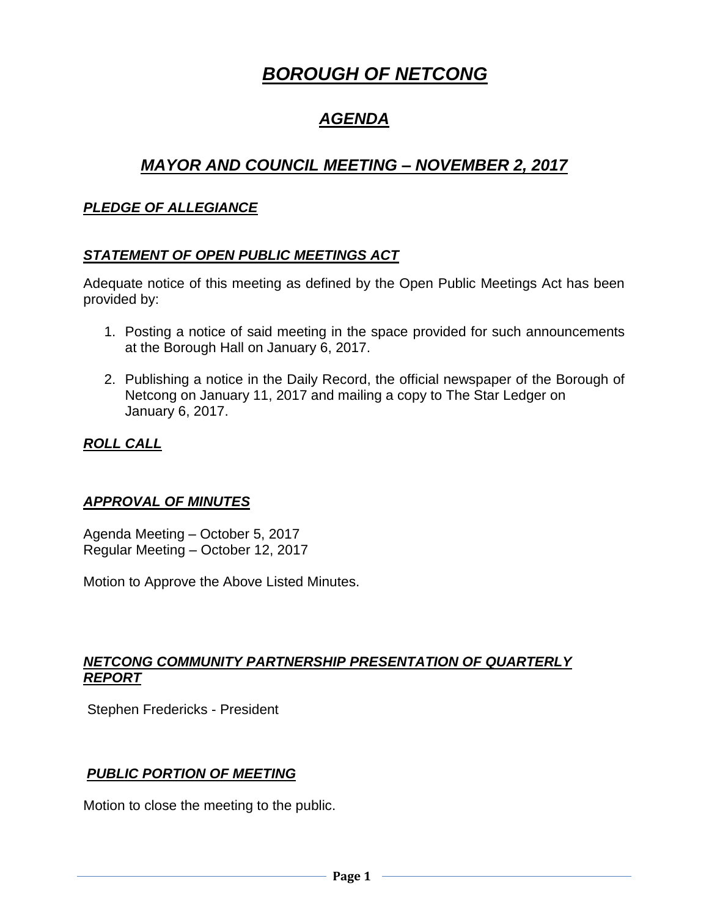# *BOROUGH OF NETCONG*

# *AGENDA*

# *MAYOR AND COUNCIL MEETING – NOVEMBER 2, 2017*

#### *PLEDGE OF ALLEGIANCE*

#### *STATEMENT OF OPEN PUBLIC MEETINGS ACT*

Adequate notice of this meeting as defined by the Open Public Meetings Act has been provided by:

- 1. Posting a notice of said meeting in the space provided for such announcements at the Borough Hall on January 6, 2017.
- 2. Publishing a notice in the Daily Record, the official newspaper of the Borough of Netcong on January 11, 2017 and mailing a copy to The Star Ledger on January 6, 2017.

#### *ROLL CALL*

#### *APPROVAL OF MINUTES*

Agenda Meeting – October 5, 2017 Regular Meeting – October 12, 2017

Motion to Approve the Above Listed Minutes.

#### *NETCONG COMMUNITY PARTNERSHIP PRESENTATION OF QUARTERLY REPORT*

Stephen Fredericks - President

#### *PUBLIC PORTION OF MEETING*

Motion to close the meeting to the public.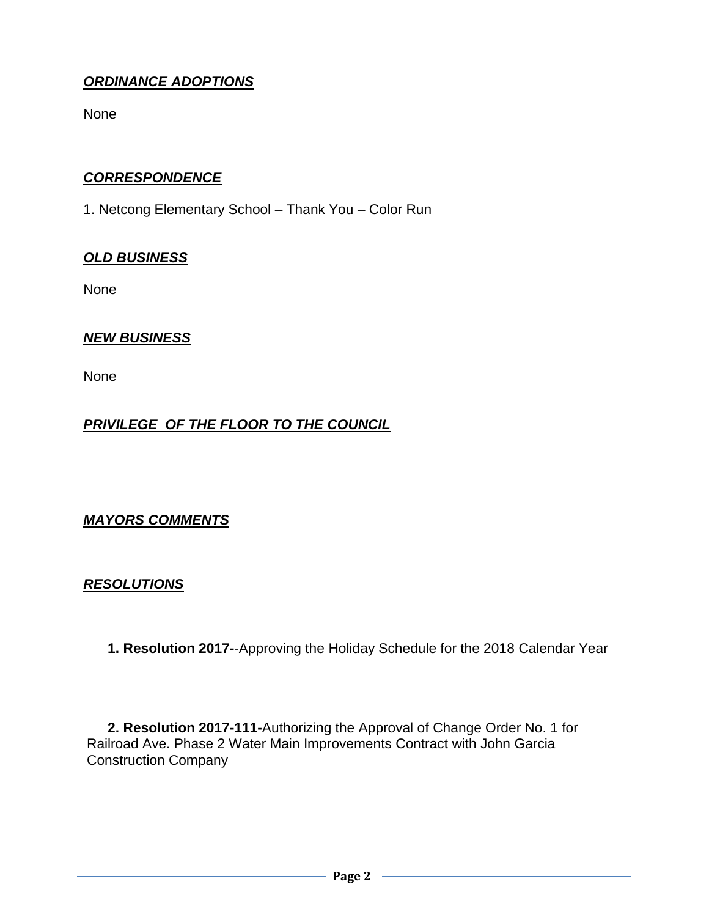# *ORDINANCE ADOPTIONS*

None

## *CORRESPONDENCE*

1. Netcong Elementary School – Thank You – Color Run

## *OLD BUSINESS*

None

## *NEW BUSINESS*

None

# *PRIVILEGE OF THE FLOOR TO THE COUNCIL*

# *MAYORS COMMENTS*

#### *RESOLUTIONS*

**1. Resolution 2017-**-Approving the Holiday Schedule for the 2018 Calendar Year

**2. Resolution 2017-111-**Authorizing the Approval of Change Order No. 1 for Railroad Ave. Phase 2 Water Main Improvements Contract with John Garcia Construction Company